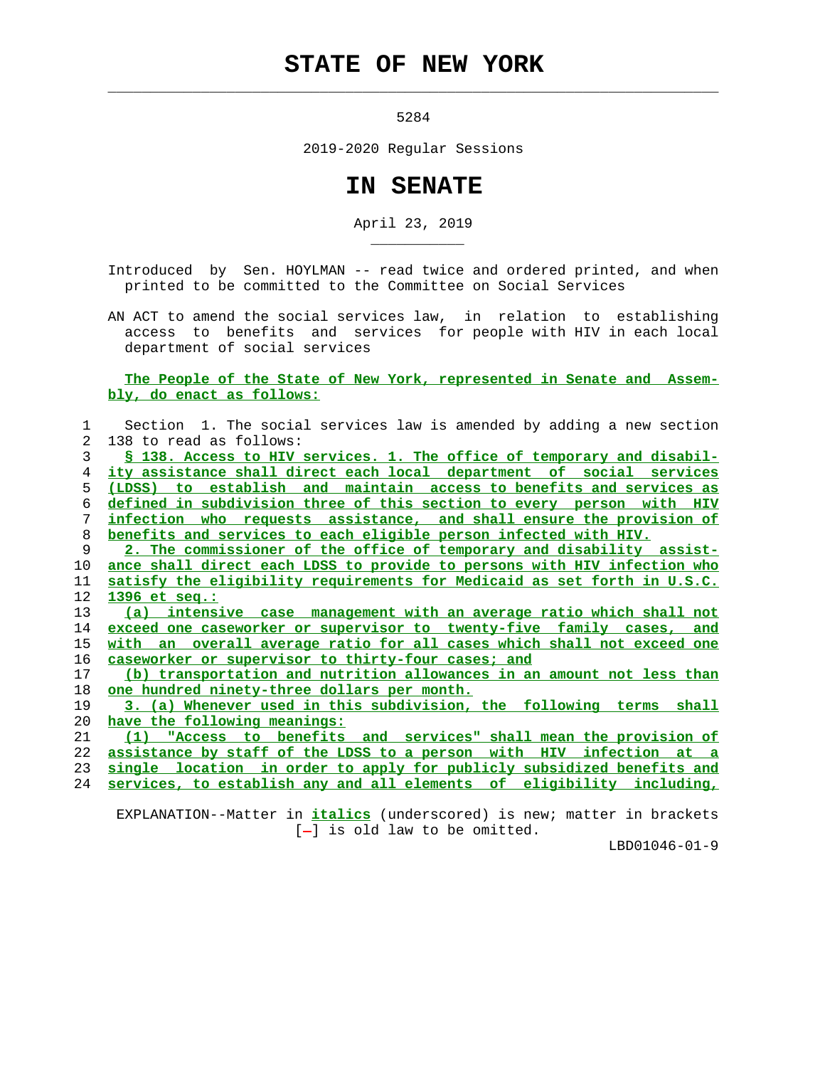## **STATE OF NEW YORK**

 $\mathcal{L}_\text{max} = \frac{1}{2} \sum_{i=1}^{n} \frac{1}{2} \sum_{i=1}^{n} \frac{1}{2} \sum_{i=1}^{n} \frac{1}{2} \sum_{i=1}^{n} \frac{1}{2} \sum_{i=1}^{n} \frac{1}{2} \sum_{i=1}^{n} \frac{1}{2} \sum_{i=1}^{n} \frac{1}{2} \sum_{i=1}^{n} \frac{1}{2} \sum_{i=1}^{n} \frac{1}{2} \sum_{i=1}^{n} \frac{1}{2} \sum_{i=1}^{n} \frac{1}{2} \sum_{i=1}^{n} \frac{1$ 

\_\_\_\_\_\_\_\_\_\_\_

5284

2019-2020 Regular Sessions

## **IN SENATE**

April 23, 2019

 Introduced by Sen. HOYLMAN -- read twice and ordered printed, and when printed to be committed to the Committee on Social Services

 AN ACT to amend the social services law, in relation to establishing access to benefits and services for people with HIV in each local department of social services

 **The People of the State of New York, represented in Senate and Assem bly, do enact as follows:**

| 1              | Section 1. The social services law is amended by adding a new section          |
|----------------|--------------------------------------------------------------------------------|
| $\overline{2}$ | 138 to read as follows:                                                        |
| 3              | \$ 138. Access to HIV services. 1. The office of temporary and disabil-        |
| 4              | ity assistance shall direct each local department of social services           |
| 5              | (LDSS) to establish and maintain access to benefits and services as            |
| 6              | defined in subdivision three of this section to every person with HIV          |
| 7              | infection who requests assistance, and shall ensure the provision of           |
| 8              | benefits and services to each eligible person infected with HIV.               |
| 9              | 2. The commissioner of the office of temporary and disability assist-          |
| 10             | ance shall direct each LDSS to provide to persons with HIV infection who       |
| 11             | satisfy the eligibility requirements for Medicaid as set forth in U.S.C.       |
| 12             | $1396$ et seq.:                                                                |
| 13             | intensive case management with an average ratio which shall not<br>(a)         |
| 14             | exceed one caseworker or supervisor to twenty-five family cases,<br><u>and</u> |
| 15             | <u>with an overall average ratio for all cases which shall not exceed one</u>  |
| 16             | caseworker or supervisor to thirty-four cases; and                             |
| 17             | (b) transportation and nutrition allowances in an amount not less than         |
| 18             | one hundred ninety-three dollars per month.                                    |
| 19             | 3. (a) Whenever used in this subdivision, the following terms<br>shall         |
| 20             | have the following meanings:                                                   |
| 21             | "Access to benefits and services" shall mean the provision of<br>(1)           |
| 22             | assistance by staff of the LDSS to a person with HIV infection at a            |
| 23             | single location in order to apply for publicly subsidized benefits and         |
| 24             | services, to establish any and all elements of eligibility including,          |

 EXPLANATION--Matter in **italics** (underscored) is new; matter in brackets [-] is old law to be omitted.

LBD01046-01-9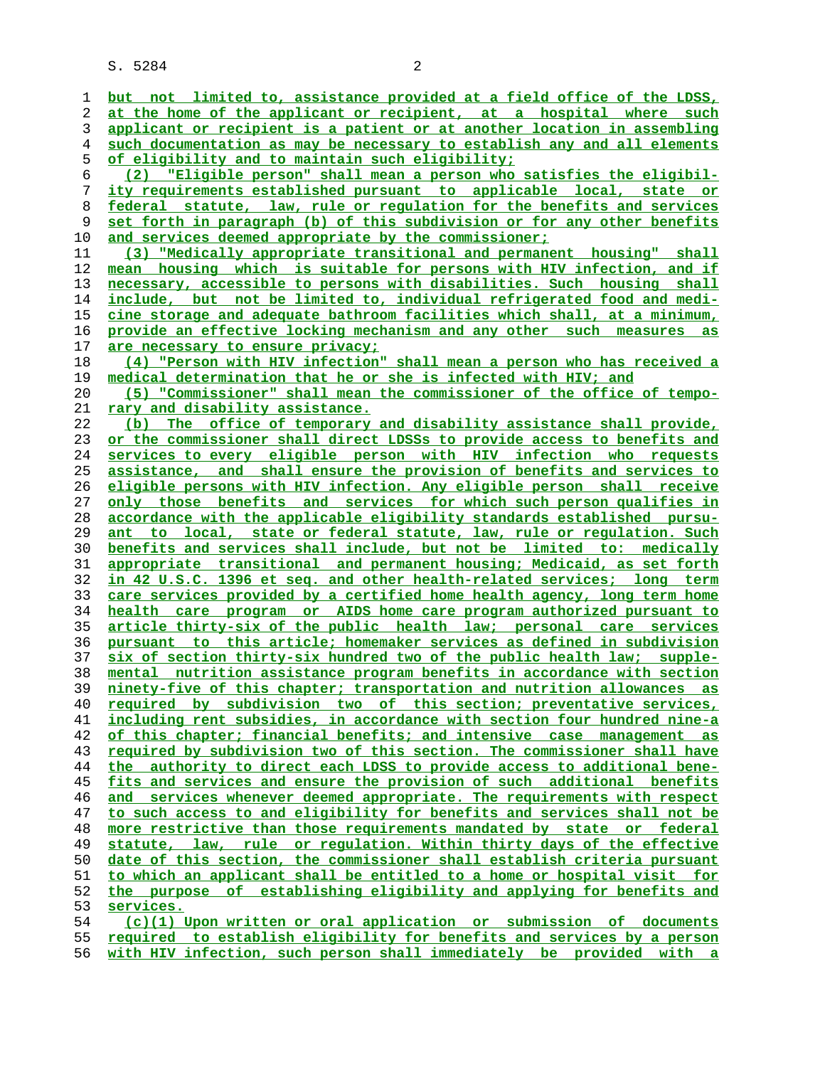S. 5284 2

**but not limited to, assistance provided at a field office of the LDSS, at the home of the applicant or recipient, at a hospital where such applicant or recipient is a patient or at another location in assembling such documentation as may be necessary to establish any and all elements of eligibility and to maintain such eligibility; (2) "Eligible person" shall mean a person who satisfies the eligibil- ity requirements established pursuant to applicable local, state or federal statute, law, rule or regulation for the benefits and services set forth in paragraph (b) of this subdivision or for any other benefits and services deemed appropriate by the commissioner; (3) "Medically appropriate transitional and permanent housing" shall mean housing which is suitable for persons with HIV infection, and if necessary, accessible to persons with disabilities. Such housing shall include, but not be limited to, individual refrigerated food and medi- cine storage and adequate bathroom facilities which shall, at a minimum, provide an effective locking mechanism and any other such measures as are necessary to ensure privacy; (4) "Person with HIV infection" shall mean a person who has received a medical determination that he or she is infected with HIV; and (5) "Commissioner" shall mean the commissioner of the office of tempo-**

**rary and disability assistance.**

**(b) The office of temporary and disability assistance shall provide, or the commissioner shall direct LDSSs to provide access to benefits and services to every eligible person with HIV infection who requests assistance, and shall ensure the provision of benefits and services to eligible persons with HIV infection. Any eligible person shall receive only those benefits and services for which such person qualifies in accordance with the applicable eligibility standards established pursu- ant to local, state or federal statute, law, rule or regulation. Such benefits and services shall include, but not be limited to: medically appropriate transitional and permanent housing; Medicaid, as set forth in 42 U.S.C. 1396 et seq. and other health-related services; long term care services provided by a certified home health agency, long term home health care program or AIDS home care program authorized pursuant to article thirty-six of the public health law; personal care services pursuant to this article; homemaker services as defined in subdivision six of section thirty-six hundred two of the public health law; supple- mental nutrition assistance program benefits in accordance with section ninety-five of this chapter; transportation and nutrition allowances as required by subdivision two of this section; preventative services, including rent subsidies, in accordance with section four hundred nine-a of this chapter; financial benefits; and intensive case management as required by subdivision two of this section. The commissioner shall have the authority to direct each LDSS to provide access to additional bene- fits and services and ensure the provision of such additional benefits and services whenever deemed appropriate. The requirements with respect to such access to and eligibility for benefits and services shall not be more restrictive than those requirements mandated by state or federal statute, law, rule or regulation. Within thirty days of the effective date of this section, the commissioner shall establish criteria pursuant to which an applicant shall be entitled to a home or hospital visit for the purpose of establishing eligibility and applying for benefits and services. (c)(1) Upon written or oral application or submission of documents**

**required to establish eligibility for benefits and services by a person with HIV infection, such person shall immediately be provided with a**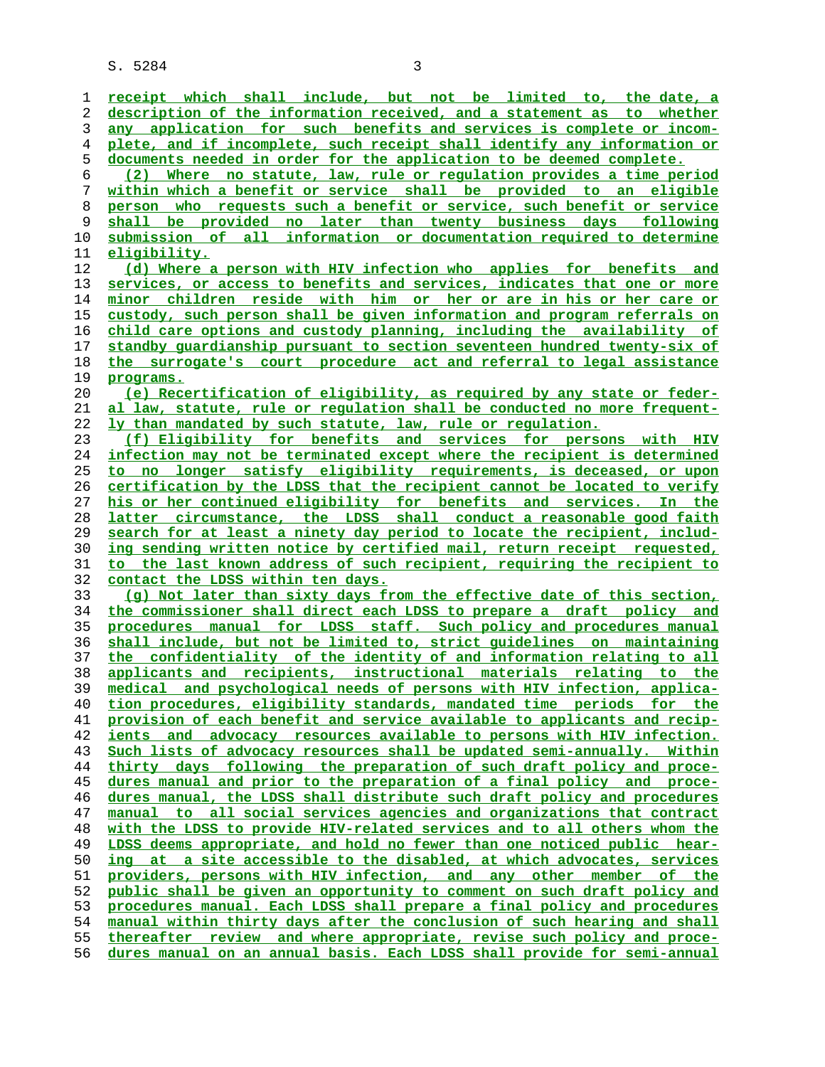S. 5284 3

**receipt which shall include, but not be limited to, the date, a description of the information received, and a statement as to whether any application for such benefits and services is complete or incom- plete, and if incomplete, such receipt shall identify any information or documents needed in order for the application to be deemed complete. (2) Where no statute, law, rule or regulation provides a time period within which a benefit or service shall be provided to an eligible person who requests such a benefit or service, such benefit or service shall be provided no later than twenty business days following submission of all information or documentation required to determine eligibility. (d) Where a person with HIV infection who applies for benefits and services, or access to benefits and services, indicates that one or more minor children reside with him or her or are in his or her care or custody, such person shall be given information and program referrals on child care options and custody planning, including the availability of standby guardianship pursuant to section seventeen hundred twenty-six of the surrogate's court procedure act and referral to legal assistance programs. (e) Recertification of eligibility, as required by any state or feder- al law, statute, rule or regulation shall be conducted no more frequent- ly than mandated by such statute, law, rule or regulation. (f) Eligibility for benefits and services for persons with HIV infection may not be terminated except where the recipient is determined to no longer satisfy eligibility requirements, is deceased, or upon certification by the LDSS that the recipient cannot be located to verify his or her continued eligibility for benefits and services. In the latter circumstance, the LDSS shall conduct a reasonable good faith search for at least a ninety day period to locate the recipient, includ- ing sending written notice by certified mail, return receipt requested, to the last known address of such recipient, requiring the recipient to contact the LDSS within ten days. (g) Not later than sixty days from the effective date of this section, the commissioner shall direct each LDSS to prepare a draft policy and procedures manual for LDSS staff. Such policy and procedures manual shall include, but not be limited to, strict guidelines on maintaining the confidentiality of the identity of and information relating to all applicants and recipients, instructional materials relating to the medical and psychological needs of persons with HIV infection, applica- tion procedures, eligibility standards, mandated time periods for the provision of each benefit and service available to applicants and recip- ients and advocacy resources available to persons with HIV infection. Such lists of advocacy resources shall be updated semi-annually. Within thirty days following the preparation of such draft policy and proce- dures manual and prior to the preparation of a final policy and proce- dures manual, the LDSS shall distribute such draft policy and procedures manual to all social services agencies and organizations that contract with the LDSS to provide HIV-related services and to all others whom the LDSS deems appropriate, and hold no fewer than one noticed public hear- ing at a site accessible to the disabled, at which advocates, services providers, persons with HIV infection, and any other member of the public shall be given an opportunity to comment on such draft policy and procedures manual. Each LDSS shall prepare a final policy and procedures manual within thirty days after the conclusion of such hearing and shall thereafter review and where appropriate, revise such policy and proce- dures manual on an annual basis. Each LDSS shall provide for semi-annual**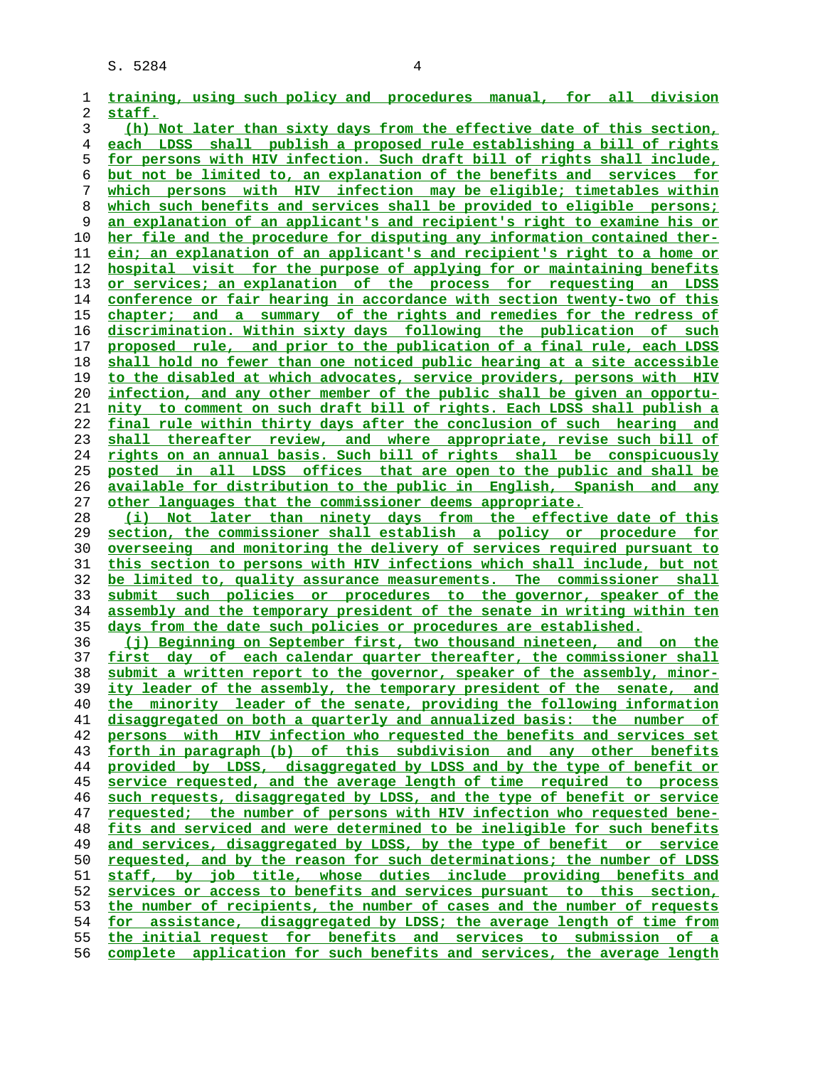**training, using such policy and procedures manual, for all division staff. (h) Not later than sixty days from the effective date of this section, each LDSS shall publish a proposed rule establishing a bill of rights for persons with HIV infection. Such draft bill of rights shall include, but not be limited to, an explanation of the benefits and services for which persons with HIV infection may be eligible; timetables within which such benefits and services shall be provided to eligible persons; an explanation of an applicant's and recipient's right to examine his or her file and the procedure for disputing any information contained ther- ein; an explanation of an applicant's and recipient's right to a home or hospital visit for the purpose of applying for or maintaining benefits or services; an explanation of the process for requesting an LDSS conference or fair hearing in accordance with section twenty-two of this chapter; and a summary of the rights and remedies for the redress of discrimination. Within sixty days following the publication of such proposed rule, and prior to the publication of a final rule, each LDSS shall hold no fewer than one noticed public hearing at a site accessible to the disabled at which advocates, service providers, persons with HIV infection, and any other member of the public shall be given an opportu- nity to comment on such draft bill of rights. Each LDSS shall publish a final rule within thirty days after the conclusion of such hearing and shall thereafter review, and where appropriate, revise such bill of rights on an annual basis. Such bill of rights shall be conspicuously posted in all LDSS offices that are open to the public and shall be available for distribution to the public in English, Spanish and any other languages that the commissioner deems appropriate. (i) Not later than ninety days from the effective date of this section, the commissioner shall establish a policy or procedure for overseeing and monitoring the delivery of services required pursuant to this section to persons with HIV infections which shall include, but not be limited to, quality assurance measurements. The commissioner shall submit such policies or procedures to the governor, speaker of the assembly and the temporary president of the senate in writing within ten days from the date such policies or procedures are established. (j) Beginning on September first, two thousand nineteen, and on the first day of each calendar quarter thereafter, the commissioner shall submit a written report to the governor, speaker of the assembly, minor- ity leader of the assembly, the temporary president of the senate, and the minority leader of the senate, providing the following information disaggregated on both a quarterly and annualized basis: the number of persons with HIV infection who requested the benefits and services set forth in paragraph (b) of this subdivision and any other benefits provided by LDSS, disaggregated by LDSS and by the type of benefit or service requested, and the average length of time required to process such requests, disaggregated by LDSS, and the type of benefit or service requested; the number of persons with HIV infection who requested bene- fits and serviced and were determined to be ineligible for such benefits and services, disaggregated by LDSS, by the type of benefit or service requested, and by the reason for such determinations; the number of LDSS staff, by job title, whose duties include providing benefits and services or access to benefits and services pursuant to this section, the number of recipients, the number of cases and the number of requests for assistance, disaggregated by LDSS; the average length of time from the initial request for benefits and services to submission of a complete application for such benefits and services, the average length**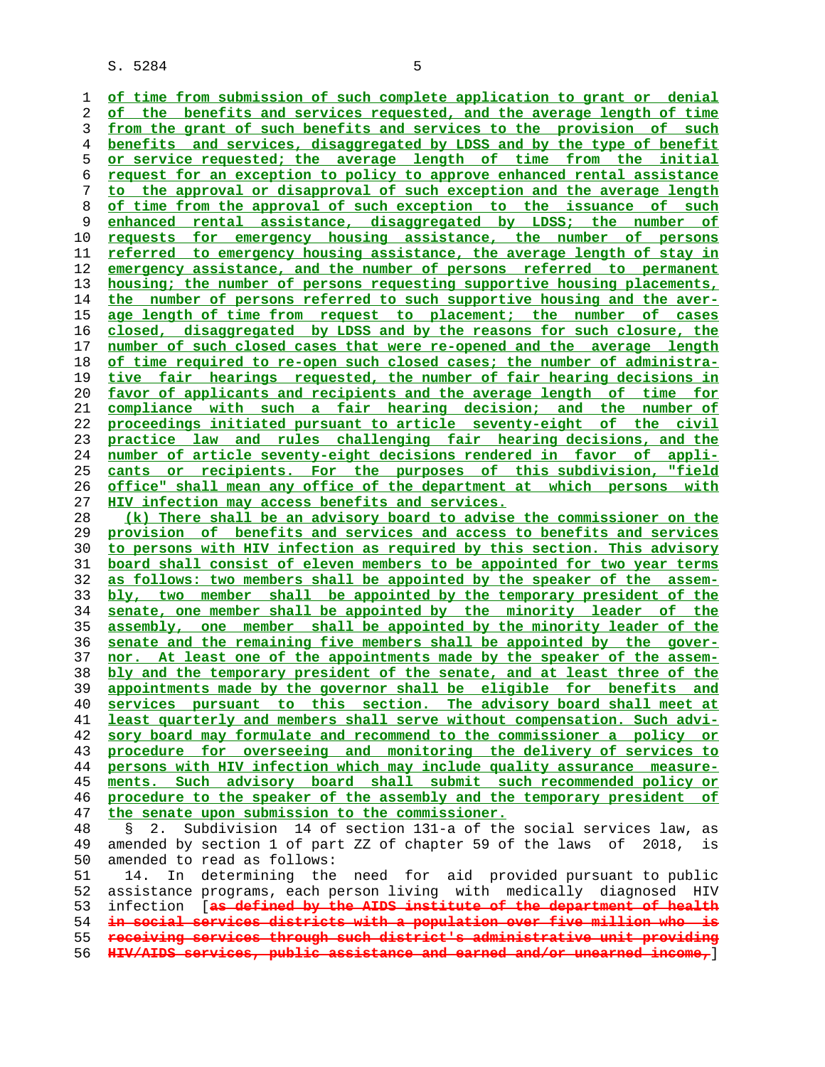S. 5284 5

**of time from submission of such complete application to grant or denial of the benefits and services requested, and the average length of time from the grant of such benefits and services to the provision of such benefits and services, disaggregated by LDSS and by the type of benefit or service requested; the average length of time from the initial request for an exception to policy to approve enhanced rental assistance to the approval or disapproval of such exception and the average length of time from the approval of such exception to the issuance of such enhanced rental assistance, disaggregated by LDSS; the number of requests for emergency housing assistance, the number of persons referred to emergency housing assistance, the average length of stay in emergency assistance, and the number of persons referred to permanent housing; the number of persons requesting supportive housing placements, the number of persons referred to such supportive housing and the aver- age length of time from request to placement; the number of cases closed, disaggregated by LDSS and by the reasons for such closure, the number of such closed cases that were re-opened and the average length of time required to re-open such closed cases; the number of administra- tive fair hearings requested, the number of fair hearing decisions in favor of applicants and recipients and the average length of time for compliance with such a fair hearing decision; and the number of**

**proceedings initiated pursuant to article seventy-eight of the civil practice law and rules challenging fair hearing decisions, and the number of article seventy-eight decisions rendered in favor of appli- cants or recipients. For the purposes of this subdivision, "field office" shall mean any office of the department at which persons with HIV infection may access benefits and services.**

**(k) There shall be an advisory board to advise the commissioner on the provision of benefits and services and access to benefits and services to persons with HIV infection as required by this section. This advisory board shall consist of eleven members to be appointed for two year terms as follows: two members shall be appointed by the speaker of the assem- bly, two member shall be appointed by the temporary president of the senate, one member shall be appointed by the minority leader of the assembly, one member shall be appointed by the minority leader of the senate and the remaining five members shall be appointed by the gover- nor. At least one of the appointments made by the speaker of the assem- bly and the temporary president of the senate, and at least three of the appointments made by the governor shall be eligible for benefits and services pursuant to this section. The advisory board shall meet at least quarterly and members shall serve without compensation. Such advi- sory board may formulate and recommend to the commissioner a policy or procedure for overseeing and monitoring the delivery of services to persons with HIV infection which may include quality assurance measure- ments. Such advisory board shall submit such recommended policy or procedure to the speaker of the assembly and the temporary president of the senate upon submission to the commissioner.**

 48 § 2. Subdivision 14 of section 131-a of the social services law, as amended by section 1 of part ZZ of chapter 59 of the laws of 2018, is 50 amended to read as follows:

 51 14. In determining the need for aid provided pursuant to public 52 assistance programs, each person living with medically diagnosed HIV 53 infection [**as defined by the AIDS institute of the department of health in social services districts with a population over five million who is receiving services through such district's administrative unit providing HIV/AIDS services, public assistance and earned and/or unearned income,**]